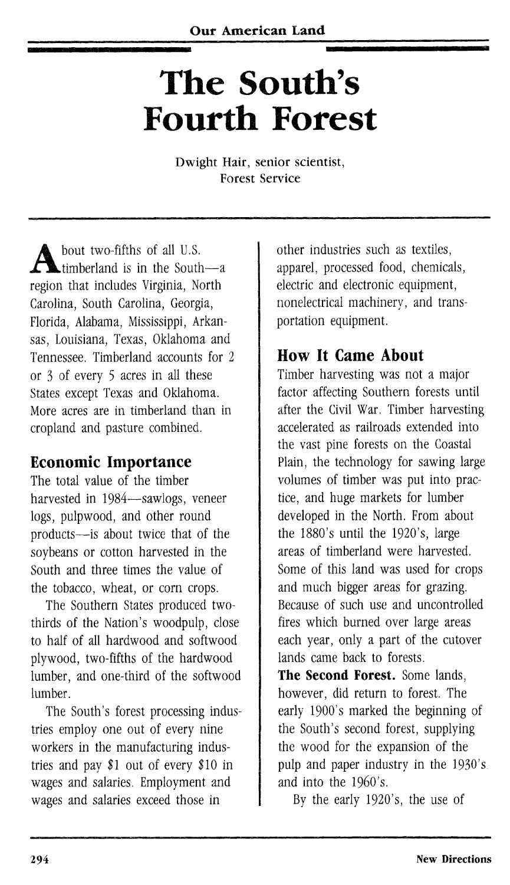# **The South's Fourth Forest**

Dwight Hair, senior scientist, Forest Service

bout two-fifths of all U.S. timberland is in the South—a region that includes Virginia, North Carolina, South Carolina, Georgia, Florida, Alabama, Mississippi, Arkansas, Louisiana, Texas, Oklahoma and Tennessee. Timberland accounts for 2 or <sup>3</sup> of every <sup>5</sup> acres in all these States except Texas and Oklahoma. More acres are in timberland than in cropland and pasture combined.

## Economic Importance

The total value of the timber harvested in 1984—sawlogs, veneer logs, pulpwood, and other round products—is about twice that of the soybeans or cotton harvested in the South and three times the value of the tobacco, wheat, or corn crops.

The Southern States produced twothirds of the Nation's woodpulp, close to half of all hardwood and softwood plywood, two-fifths of the hardwood lumber, and one-third of the softwood lumber.

The South's forest processing industries employ one out of every nine workers in the manufacturing industries and pay  $$1$  out of every  $$10$  in wages and salaries. Employment and wages and salaries exceed those in

other industries such as textiles, apparel, processed food, chemicals, electric and electronic equipment, nonelectrical machinery, and transportation equipment.

## How It Came About

Timber harvesting was not a major factor affecting Southern forests until after the Civil War. Timber harvesting accelerated as railroads extended into the vast pine forests on the Coastal Plain, the technology for sawing large volumes of timber was put into practice, and huge markets for lumber developed in the North. From about the 1880's until the 1920's, large areas of timberland were harvested. Some of this land was used for crops and much bigger areas for grazing. Because of such use and uncontrolled fires which burned over large areas each year, only a part of the cutover lands came back to forests.

**The Second Forest.** Some lands, however, did return to forest. The early 1900's marked the beginning of the South's second forest, supplying the wood for the expansion of the pulp and paper industry in the 1930's and into the 1960's.

By the early 1920's, the use of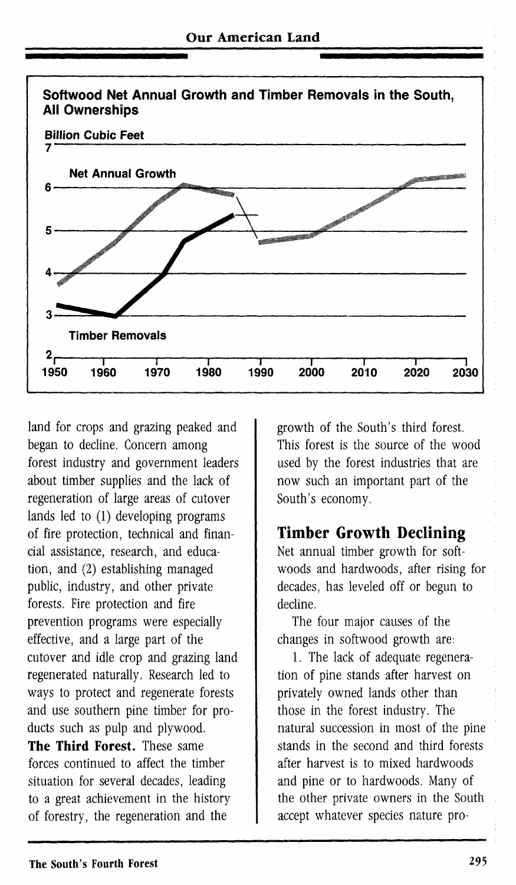

land for crops and grazing peaked and began to decline. Concern among forest industry and government leaders about timber supplies and the lack of regeneration of large areas of cutover lands led to (1) developing programs of fire protection, technical and financial assistance, research, and education, and (2) establishing managed public, industry, and other private forests. Fire protection and fire prevention programs were especially effective, and a large part of the cutover and idle crop and grazing land regenerated naturally. Research led to ways to protect and regenerate forests and use southern pine timber for products such as pulp and plywood. **The Third Forest.** These same

forces continued to affect the timber situation for several decades, leading to a great achievement in the history of forestry, the regeneration and the

growth of the South's third forest. This forest is the source of the wood used by the forest industries that are now such an important part of the South's economy.

#### **Timber Growth Declining**

Net annual timber growth for softwoods and hardwoods, after rising for decades, has leveled off or begun to decline.

The four major causes of the changes in softwood growth are:

1. The lack of adequate regeneration of pine stands after harvest on privately owned lands other than those in the forest industry. The natural succession in most of the pine stands in the second and third forests after harvest is to mixed hardwoods and pine or to hardwoods. Many of the other private owners in the South accept whatever species nature pro-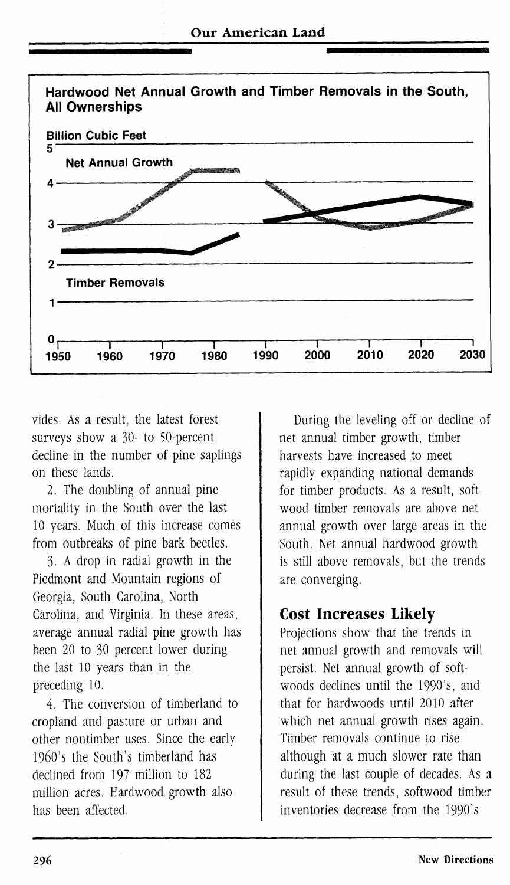

vides. As a result, the latest forest surveys show a 30- to 50-percent decline in the number of pine saplings on these lands.

2. The doubling of annual pine mortality in the South over the last 10 years. Much of this increase comes from outbreaks of pine bark beetles.

3. A drop in radial growth in the Piedmont and Mountain regions of Georgia, South Carolina, North Carolina, and Virginia. In these areas, average annual radial pine growth has been 20 to 30 percent lower during the last 10 years than in the preceding 10.

4. The conversion of timberland to cropland and pasture or urban and other nontimber uses. Since the early 1960's the South's timberland has declined from 197 million to 182 million acres. Hardwood growth also has been affected.

During the leveling off or decline of net annual timber growth, timber harvests have increased to meet rapidly expanding national demands for timber products. As a result, softwood timber removals are above net annual growth over large areas in the South. Net annual hardwood growth is still above removals, but the trends are converging.

#### Cost Increases Likely

Projections show that the trends in net annual growth and removals will persist. Net annual growth of softwoods declines until the 1990's, and that for hardwoods until 2010 after which net annual growth rises again. Timber removals continue to rise although at a much slower rate than during the last couple of decades. As a result of these trends, softwood timber inventories decrease from the 1990's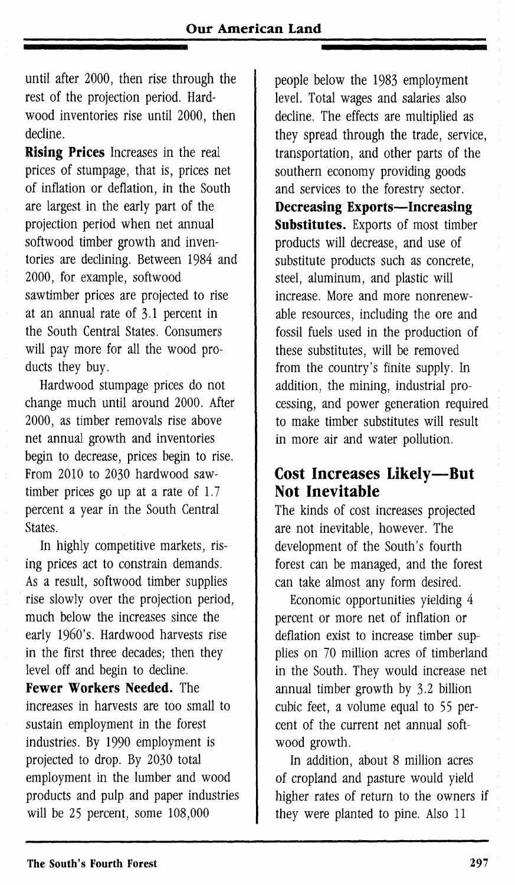until after 2000, then rise through the rest of the projection period. Hardwood inventories rise until 2000, then decline.

**Rising Prices** Increases in the real prices of stumpage, that is, prices net of inflation or deflation, in the South are largest in the early part of the projection period when net annual softwood timber growth and inventories are declining. Between 1984 and 2000, for example, softwood sawtimber prices are projected to rise at an annual rate of 3-1 percent in the South Central States. Consumers will pay more for all the wood products they buy.

Hardwood stumpage prices do not change much until around 2000. After 2000, as timber removals rise above net annual growth and inventories begin to decrease, prices begin to rise. From 2010 to 2030 hardwood sawtimber prices go up at a rate of 1.7 percent a year in the South Central **States**.

In highly competitive markets, rising prices act to constrain demands. As a result, softwood timber supplies rise slowly over the projection period, much below the increases since the early 1960's. Hardwood harvests rise in the first three decades; then they level off and begin to decline. **Fewer Workers Needed.** The increases in harvests are too small to sustain employment in the forest industries. By 1990 employment is projected to drop. By 2030 total employment in the lumber and wood products and pulp and paper industries will be 25 percent, some 108,000

people below the 1983 employment level. Total wages and salaries also decline. The effects are multiplied as they spread through the trade, service, transportation, and other parts of the southern economy providing goods and services to the forestry sector. **Decreasing Exports—Increasing Substitutes.** Exports of most timber products will decrease, and use of substitute products such as concrete, steel, aluminum, and plastic will increase. More and more nonrenewable resources, including the ore and fossil fuels used in the production of these substitutes, will be removed from the country's finite supply. In addition, the mining, industrial processing, and power generation required to make timber substitutes will result in more air and water pollution.

### **Cost Increases Likely—But Not Inevitable**

The kinds of cost increases projected are not inevitable, however. The development of the South's fourth forest can be managed, and the forest can take almost any form desired.

Economic opportunities yielding 4 percent or more net of inflation or deflation exist to increase timber supplies on 70 million acres of timberland in the South. They would increase net annual timber growth by 3.2 billion cubic feet, a volume equal to 55 percent of the current net annual softwood growth.

In addition, about 8 million acres of cropland and pasture would yield higher rates of return to the owners if they were planted to pine. Also 11